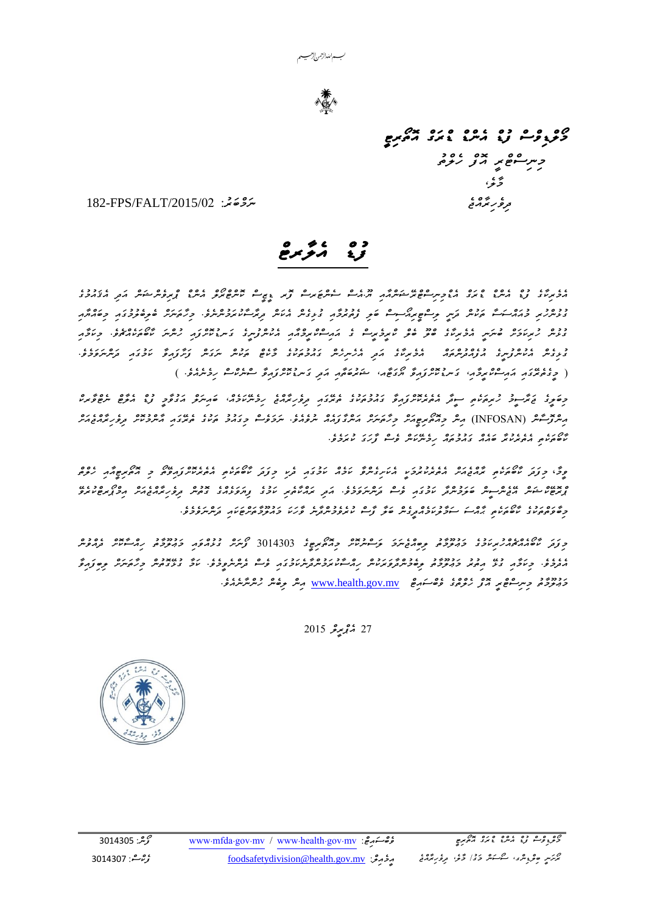

*`*

*މޯލްޑިވްސް ފުޑް އެންޑް ޑްރަގް އޮތޯރިޓީ*  حسر سور مرکز مرکز کرده<br>مرکز  *މާލ،ެ* 

 *ދިވެހިރާއްޖެ ނަމްބަރ:ު* /2015/24FALT/FPS182-

# *ފުޑް އެލާރޓް*

*އެމެރިކާގެ ފުޑް އެންޑް ޑްރަގް އެޑްމިނިސްޓްރޭޝަންއާއި ޔ.ޫއެސް ސެންޓަރސް ފޮރ ޑީޒީސް ކޮންޓްރޯލް އެންޑް ޕްރިވެންޝަން އަދި އެޤައުމުގެ ގުޅުންހުރި މުއައްސަސާ ތަކުން ދަނީ ލިސްޓީރިއޯސިސް ބަލި ފެތުރުމާއި ގުޅިގެން އެކަން ދިރާސާކުރަމުން ނެވ.ެ މިހާތަނަށް ބެލިބެލުމުގައި މިބައްޔާއި ގުޅުން ހުރިކަމަށް ބުނަނީ އެމެރިކާގެ ބްލޫ ބެލް ކްރީމެރީސް ގެ އައިސްކްރީމްއާއި އެކުންފުނީގެ ގަ ނޑުކޮށްފައި ހުންނަ ކާބޯތަކެއްޗެ ވ.ެ މިކަމާއި ގުޅިގެން އެކުންފުނީގެ އުފެއްދުންތައް އެމެރިކާގެ އަދި އެހެނިހެން ގައުމުތަކުގެ މާކެޓް ތަކުން ނަގަން ފަށާފައިވާ ކަމުގައި ދަންނަވަމެވ.ެ ) މީގެތެރޭގައި އައިސްކްރީމާއ،ި ގަ ނޑުކޮށްފައިވާ ޔޯގަޓާއ، ޝަރުބަތާއި އަދި ގަ ނޑުކޮށްފައިވާ ސްނެކްސް ހިމެނެއެވ.ެ (*

*މިބަލީގެ ޖަރާސީމު ހުރިތަކެތި ސީދާ އެތެރެކޮށްފައިވާ ގައުމުތަކުގެ ތެރޭގައި ދިވެހިރާއްޖެ ހިމެނޭކަ މެއ،ް ބައިނަލް އަގުވާމީ ފުޑް އެލާޓް ނެޓްވާރކް*  مِسْرَوۡنُ (INFOSAN) مِسْ *جِهْمُبِعِيهُ جِرَّةُ مِبْرَةٍ مُعْرِّدُومه* مُرْوَمَةٍ مِرْدَوْسٍ جَرَّدَةٍ مُرَوْمٍ مُر *ކާބޯތަކެތި އެތެރެކުރާ ބައެއް ގައުމުތައް ހިމެނޭކަން ވެސް ފާހަގަ ކުރަމެވ.ެ* 

*ވީމާ* ، *މިފަދަ ކާބޯތަކެތި ރާއްޖެއަށް އެތެރެކުރުމަކީ އެކަށިގެންވާ ކަމެއް ކަމުގައި ދެކި މިފަދަ ކާބޯތަކެތި އެތެރެކޮށްފައިވޭތޯ މި އޮތޯރިޓީއާއި ހެލްތް ޕްރޮޓޭކްޝަން އޭޖެންސީ ން ބަލަމުންދާ ކަމުގައި ވެސް ދަންނަވަމެވ.ެ އަދި ރައްކާތެރި ކަމުގެ ފިޔަވަޅެއްގެ ގޮތުން ދިވެހިރާއްޖެއަށް އިމްޕޯރޓްކުރެވޭ މިބާވަތްތަކުގެ ކާބޯތަކެތި ޙާއްސަ ސަމާލުކަމެއްދީގެން ބަލާ ފާސް ކުރެވެމުންދާނެ ވާހަކަ މައުލޫމާތަށްޓަކައި ދަންނަވެމެވ.ެ*

*މިފަދަ ކާބޯއެއްޗެއްހުރިކަމުގެ މަޢުލޫމާތު ލިބިއްޖެނަމަ ލަސްނުކޮށް މިއޮތޯރިޓީގެ* 5236525 *ފޯނަށް ގުޅުއްވައި މަ ޢުލޫމާތު ހިއްސާކޮށް ދެއްވުން އެދެމެވ.ެ މިކަމާއި ގުޅޭ އިތުރު މަޢުލޫމާތު ލިބެމުންދާވަރަކުން ހިއްސާކުރަމުންދާނެކަމުގައި ވެސް ދެންނެވީމެވ.ެ ކަމާ ގުޅޭގޮތުން މިހާތަނަށް ލިބިފައިވާ މަޢުލޫމާތު މިނިސްޓްރީ އޮފް ހެލްތްގެ ވެބްސައިޓް* mv.gov.health.www *އިން ލިބެން ހުންނާނެއެވ.ެ*

27 مُبْمِعِرِ 2015

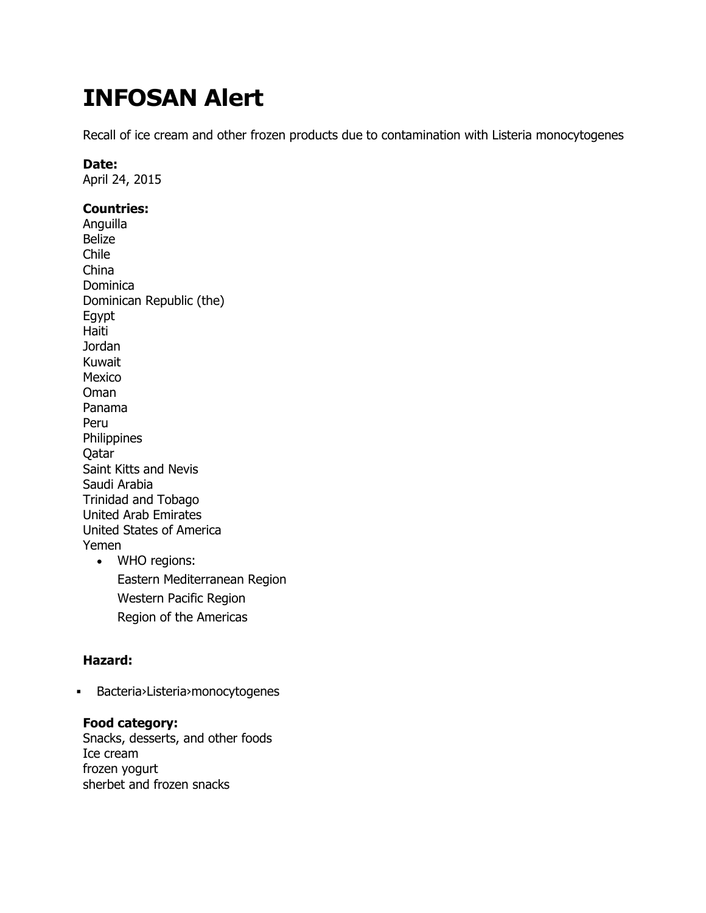# **INFOSAN Alert**

Recall of ice cream and other frozen products due to contamination with Listeria monocytogenes

#### **Date:**

April 24, 2015

# **Countries:**

Anguilla Belize Chile China Dominica Dominican Republic (the) Egypt Haiti Jordan Kuwait Mexico Oman Panama Peru Philippines Qatar Saint Kitts and Nevis Saudi Arabia Trinidad and Tobago United Arab Emirates United States of America Yemen WHO regions:

Eastern Mediterranean Region Western Pacific Region Region of the Americas

# **Hazard:**

Bacteria›Listeria›monocytogenes

# **Food category:**

Snacks, desserts, and other foods Ice cream frozen yogurt sherbet and frozen snacks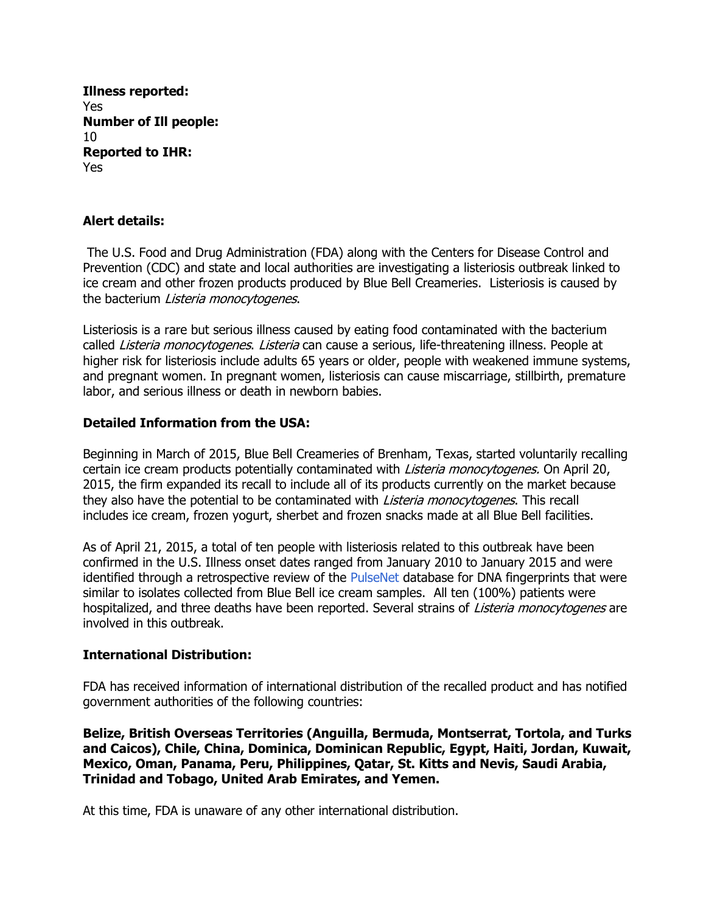**Illness reported:** Yes **Number of Ill people:** 10 **Reported to IHR:** Yes

# **Alert details:**

The U.S. Food and Drug Administration (FDA) along with the Centers for Disease Control and Prevention (CDC) and state and local authorities are investigating a listeriosis outbreak linked to ice cream and other frozen products produced by Blue Bell Creameries. Listeriosis is caused by the bacterium Listeria monocytogenes.

Listeriosis is a rare but serious illness caused by eating food contaminated with the bacterium called *Listeria monocytogenes. Listeria* can cause a serious, life-threatening illness. People at higher risk for listeriosis include adults 65 years or older, people with weakened immune systems, and pregnant women. In pregnant women, listeriosis can cause miscarriage, stillbirth, premature labor, and serious illness or death in newborn babies.

### **Detailed Information from the USA:**

Beginning in March of 2015, Blue Bell Creameries of Brenham, Texas, started voluntarily recalling certain ice cream products potentially contaminated with *Listeria monocytogenes*. On April 20, 2015, the firm expanded its recall to include all of its products currently on the market because they also have the potential to be contaminated with *Listeria monocytogenes*. This recall includes ice cream, frozen yogurt, sherbet and frozen snacks made at all Blue Bell facilities.

As of April 21, 2015, a total of ten people with listeriosis related to this outbreak have been confirmed in the U.S. Illness onset dates ranged from January 2010 to January 2015 and were identified through a retrospective review of the [PulseNet](http://www.cdc.gov/pulsenet/index.html) database for DNA fingerprints that were similar to isolates collected from Blue Bell ice cream samples. All ten (100%) patients were hospitalized, and three deaths have been reported. Several strains of Listeria monocytogenes are involved in this outbreak.

### **International Distribution:**

FDA has received information of international distribution of the recalled product and has notified government authorities of the following countries:

**Belize, British Overseas Territories (Anguilla, Bermuda, Montserrat, Tortola, and Turks and Caicos), Chile, China, Dominica, Dominican Republic, Egypt, Haiti, Jordan, Kuwait, Mexico, Oman, Panama, Peru, Philippines, Qatar, St. Kitts and Nevis, Saudi Arabia, Trinidad and Tobago, United Arab Emirates, and Yemen.**

At this time, FDA is unaware of any other international distribution.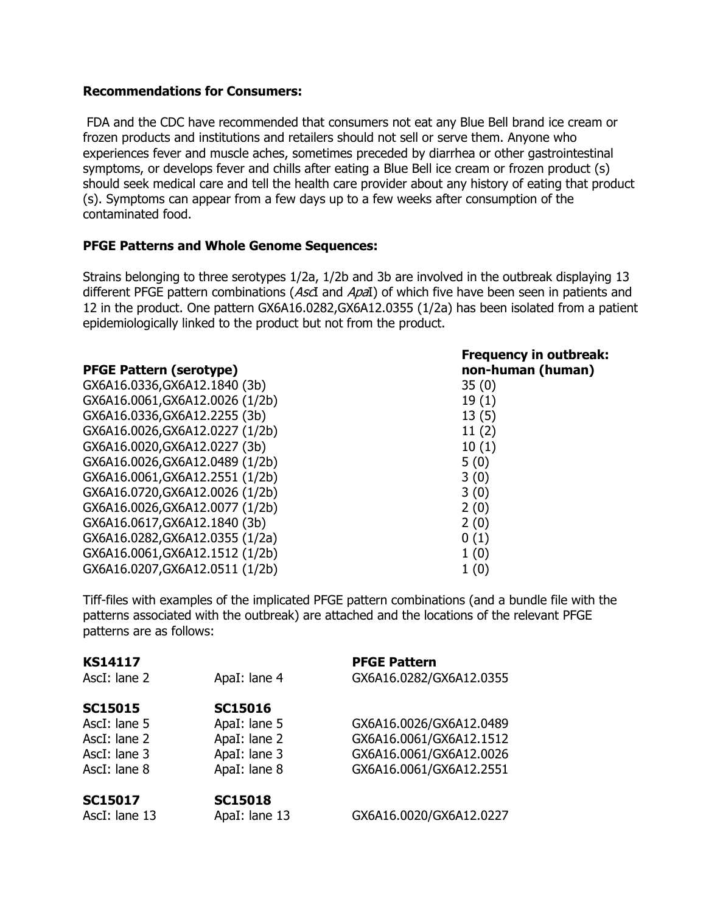#### **Recommendations for Consumers:**

FDA and the CDC have recommended that consumers not eat any Blue Bell brand ice cream or frozen products and institutions and retailers should not sell or serve them. Anyone who experiences fever and muscle aches, sometimes preceded by diarrhea or other gastrointestinal symptoms, or develops fever and chills after eating a Blue Bell ice cream or frozen product (s) should seek medical care and tell the health care provider about any history of eating that product (s). Symptoms can appear from a few days up to a few weeks after consumption of the contaminated food.

### **PFGE Patterns and Whole Genome Sequences:**

Strains belonging to three serotypes 1/2a, 1/2b and 3b are involved in the outbreak displaying 13 different PFGE pattern combinations (AscI and ApaI) of which five have been seen in patients and 12 in the product. One pattern GX6A16.0282,GX6A12.0355 (1/2a) has been isolated from a patient epidemiologically linked to the product but not from the product.

#### **PFGE Pattern (serotype)**

GX6A16.0336,GX6A12.1840 (3b) 35 (0) GX6A16.0061, GX6A12.0026 (1/2b) 19 (1) GX6A16.0336,GX6A12.2255 (3b) 13 (5) GX6A16.0026,GX6A12.0227 (1/2b) 11 (2) GX6A16.0020,GX6A12.0227 (3b) 10 (1) GX6A16.0026, GX6A12.0489 (1/2b) 5 (0) GX6A16.0061, GX6A12.2551 (1/2b) 3 (0) GX6A16.0720, GX6A12.0026 (1/2b) 3 (0) GX6A16.0026, GX6A12.0077 (1/2b) 2 (0) GX6A16.0617, GX6A12.1840 (3b) 2 (0) GX6A16.0282,GX6A12.0355 (1/2a) 0 (1) GX6A16.0061, GX6A12.1512 (1/2b) 1 (0) GX6A16.0207, GX6A12.0511 (1/2b) 1 (0)

# **Frequency in outbreak: non-human (human)**

Tiff-files with examples of the implicated PFGE pattern combinations (and a bundle file with the patterns associated with the outbreak) are attached and the locations of the relevant PFGE patterns are as follows:

| <b>KS14117</b> |                | <b>PFGE Pattern</b>     |
|----------------|----------------|-------------------------|
| AscI: lane 2   | ApaI: lane 4   | GX6A16.0282/GX6A12.0355 |
| <b>SC15015</b> | <b>SC15016</b> |                         |
| AscI: lane 5   | ApaI: lane 5   | GX6A16.0026/GX6A12.0489 |
| AscI: lane 2   | ApaI: lane 2   | GX6A16.0061/GX6A12.1512 |
| AscI: lane 3   | ApaI: lane 3   | GX6A16.0061/GX6A12.0026 |
| AscI: lane 8   | ApaI: lane 8   | GX6A16.0061/GX6A12.2551 |
| <b>SC15017</b> | <b>SC15018</b> |                         |
| AscI: lane 13  | ApaI: lane 13  | GX6A16.0020/GX6A12.0227 |